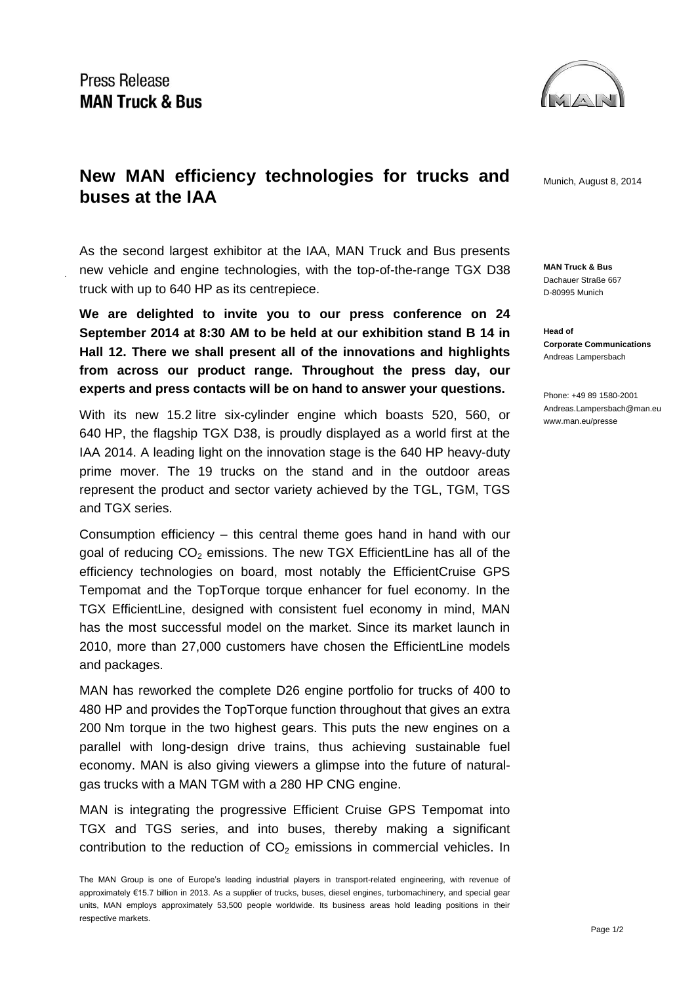

Munich, August 8, 2014

**MAN Truck & Bus** Dachauer Straße 667 D-80995 Munich

**Head of Corporate Communications** Andreas Lampersbach

Phone: +49 89 1580-2001 Andreas.Lampersbach@man.eu www.man.eu/presse

## **New MAN efficiency technologies for trucks and buses at the IAA**

As the second largest exhibitor at the IAA, MAN Truck and Bus presents new vehicle and engine technologies, with the top-of-the-range TGX D38 truck with up to 640 HP as its centrepiece.

**We are delighted to invite you to our press conference on 24 September 2014 at 8:30 AM to be held at our exhibition stand B 14 in Hall 12. There we shall present all of the innovations and highlights from across our product range. Throughout the press day, our experts and press contacts will be on hand to answer your questions.** 

With its new 15.2 litre six-cylinder engine which boasts 520, 560, or 640 HP, the flagship TGX D38, is proudly displayed as a world first at the IAA 2014. A leading light on the innovation stage is the 640 HP heavy-duty prime mover. The 19 trucks on the stand and in the outdoor areas represent the product and sector variety achieved by the TGL, TGM, TGS and TGX series.

Consumption efficiency – this central theme goes hand in hand with our goal of reducing  $CO<sub>2</sub>$  emissions. The new TGX Efficient Line has all of the efficiency technologies on board, most notably the EfficientCruise GPS Tempomat and the TopTorque torque enhancer for fuel economy. In the TGX EfficientLine, designed with consistent fuel economy in mind, MAN has the most successful model on the market. Since its market launch in 2010, more than 27,000 customers have chosen the EfficientLine models and packages.

MAN has reworked the complete D26 engine portfolio for trucks of 400 to 480 HP and provides the TopTorque function throughout that gives an extra 200 Nm torque in the two highest gears. This puts the new engines on a parallel with long-design drive trains, thus achieving sustainable fuel economy. MAN is also giving viewers a glimpse into the future of naturalgas trucks with a MAN TGM with a 280 HP CNG engine.

MAN is integrating the progressive Efficient Cruise GPS Tempomat into TGX and TGS series, and into buses, thereby making a significant contribution to the reduction of  $CO<sub>2</sub>$  emissions in commercial vehicles. In

The MAN Group is one of Europe's leading industrial players in transport-related engineering, with revenue of approximately €15.7 billion in 2013. As a supplier of trucks, buses, diesel engines, turbomachinery, and special gear units, MAN employs approximately 53,500 people worldwide. Its business areas hold leading positions in their respective markets.